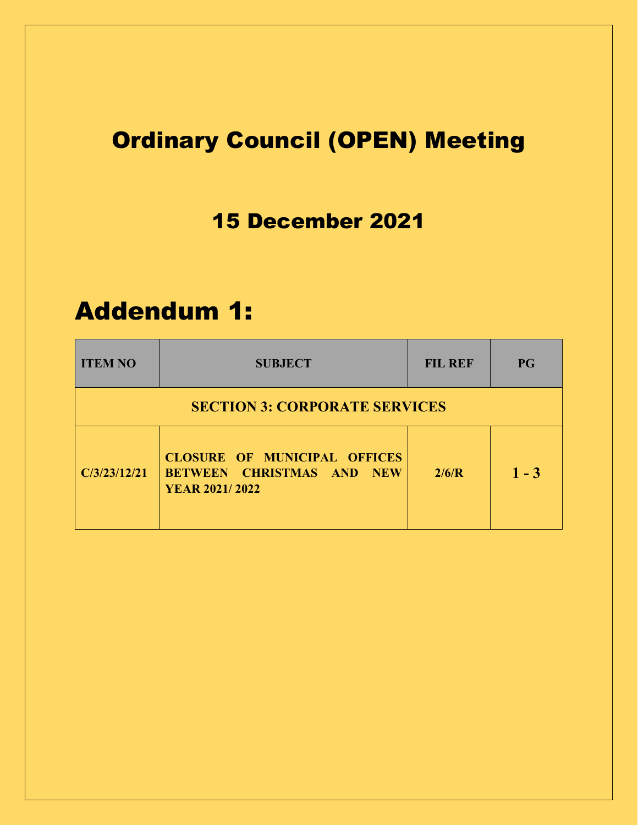## Ordinary Council (OPEN) Meeting

### 15 December 2021

## Addendum 1:

| <b>ITEM NO</b>                       | <b>SUBJECT</b>                                                                                   | <b>FIL REF</b> | <b>PG</b> |  |  |  |
|--------------------------------------|--------------------------------------------------------------------------------------------------|----------------|-----------|--|--|--|
| <b>SECTION 3: CORPORATE SERVICES</b> |                                                                                                  |                |           |  |  |  |
| C/3/23/12/21                         | <b>CLOSURE OF MUNICIPAL OFFICES</b><br><b>BETWEEN CHRISTMAS AND NEW</b><br><b>YEAR 2021/2022</b> | 2/6/R          | $1 - 3$   |  |  |  |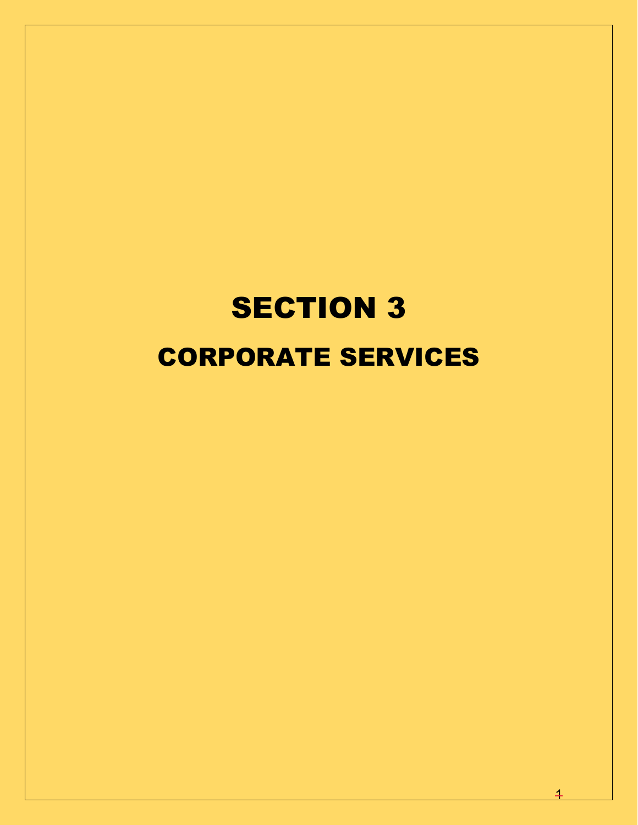# **SECTION 3** CORPORATE SERVICES

 $\overline{1}$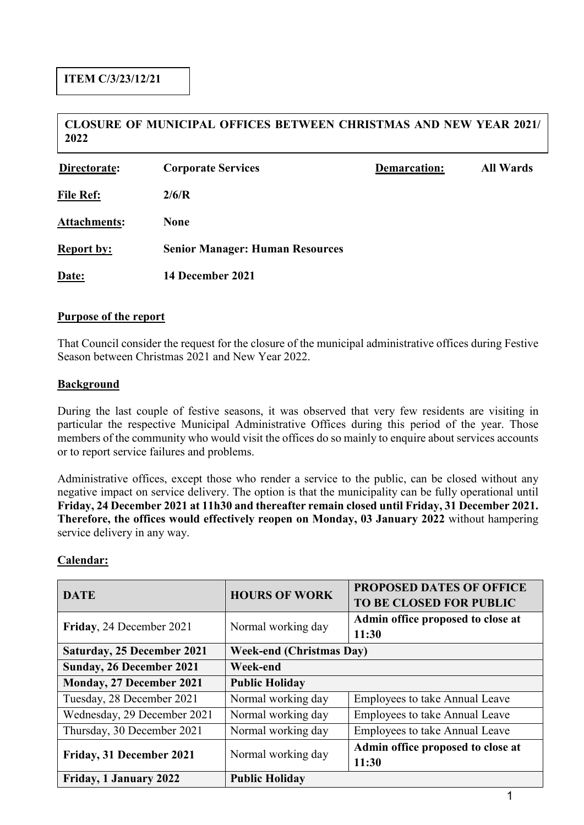#### **CLOSURE OF MUNICIPAL OFFICES BETWEEN CHRISTMAS AND NEW YEAR 2021/ 2022**

| Directorate:      | <b>Corporate Services</b>              | <b>Demarcation:</b> | <b>All Wards</b> |
|-------------------|----------------------------------------|---------------------|------------------|
| <b>File Ref:</b>  | 2/6/R                                  |                     |                  |
| Attachments:      | <b>None</b>                            |                     |                  |
| <b>Report by:</b> | <b>Senior Manager: Human Resources</b> |                     |                  |
| Date:             | 14 December 2021                       |                     |                  |

#### **Purpose of the report**

That Council consider the request for the closure of the municipal administrative offices during Festive Season between Christmas 2021 and New Year 2022.

#### **Background**

During the last couple of festive seasons, it was observed that very few residents are visiting in particular the respective Municipal Administrative Offices during this period of the year. Those members of the community who would visit the offices do so mainly to enquire about services accounts or to report service failures and problems.

Administrative offices, except those who render a service to the public, can be closed without any negative impact on service delivery. The option is that the municipality can be fully operational until **Friday, 24 December 2021 at 11h30 and thereafter remain closed until Friday, 31 December 2021. Therefore, the offices would effectively reopen on Monday, 03 January 2022** without hampering service delivery in any way.

#### **Calendar:**

| <b>DATE</b>                     | <b>HOURS OF WORK</b>            | <b>PROPOSED DATES OF OFFICE</b><br><b>TO BE CLOSED FOR PUBLIC</b> |  |
|---------------------------------|---------------------------------|-------------------------------------------------------------------|--|
| Friday, 24 December 2021        | Normal working day              | Admin office proposed to close at<br>11:30                        |  |
| Saturday, 25 December 2021      | <b>Week-end (Christmas Day)</b> |                                                                   |  |
| <b>Sunday, 26 December 2021</b> | Week-end                        |                                                                   |  |
| Monday, 27 December 2021        | <b>Public Holiday</b>           |                                                                   |  |
| Tuesday, 28 December 2021       | Normal working day              | <b>Employees to take Annual Leave</b>                             |  |
| Wednesday, 29 December 2021     | Normal working day              | <b>Employees to take Annual Leave</b>                             |  |
| Thursday, 30 December 2021      | Normal working day              | <b>Employees to take Annual Leave</b>                             |  |
| Friday, 31 December 2021        | Normal working day              | Admin office proposed to close at                                 |  |
|                                 |                                 | 11:30                                                             |  |
| Friday, 1 January 2022          | <b>Public Holiday</b>           |                                                                   |  |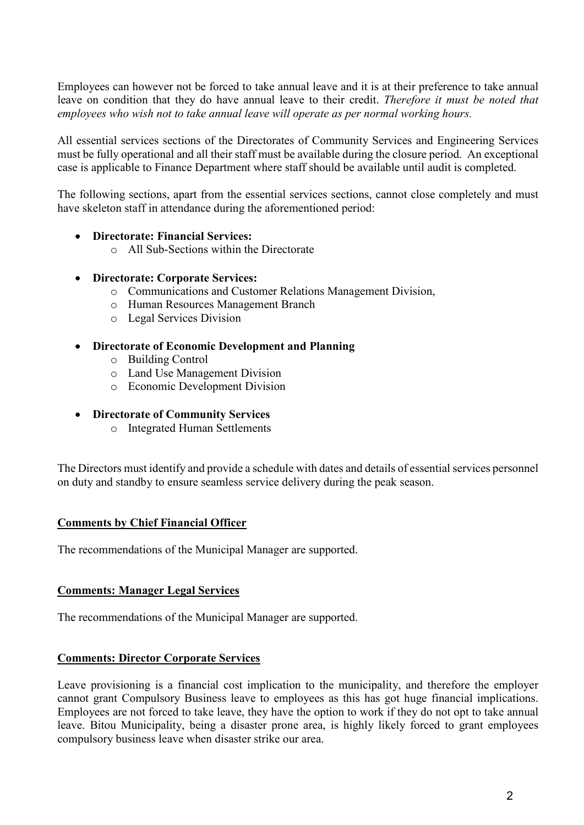Employees can however not be forced to take annual leave and it is at their preference to take annual leave on condition that they do have annual leave to their credit. *Therefore it must be noted that employees who wish not to take annual leave will operate as per normal working hours.* 

All essential services sections of the Directorates of Community Services and Engineering Services must be fully operational and all their staff must be available during the closure period. An exceptional case is applicable to Finance Department where staff should be available until audit is completed.

The following sections, apart from the essential services sections, cannot close completely and must have skeleton staff in attendance during the aforementioned period:

#### • **Directorate: Financial Services:**

o All Sub-Sections within the Directorate

#### • **Directorate: Corporate Services:**

- o Communications and Customer Relations Management Division,
- o Human Resources Management Branch
- o Legal Services Division

#### • **Directorate of Economic Development and Planning**

- o Building Control
- o Land Use Management Division
- o Economic Development Division

#### • **Directorate of Community Services**

o Integrated Human Settlements

The Directors must identify and provide a schedule with dates and details of essential services personnel on duty and standby to ensure seamless service delivery during the peak season.

#### **Comments by Chief Financial Officer**

The recommendations of the Municipal Manager are supported.

#### **Comments: Manager Legal Services**

The recommendations of the Municipal Manager are supported.

#### **Comments: Director Corporate Services**

Leave provisioning is a financial cost implication to the municipality, and therefore the employer cannot grant Compulsory Business leave to employees as this has got huge financial implications. Employees are not forced to take leave, they have the option to work if they do not opt to take annual leave. Bitou Municipality, being a disaster prone area, is highly likely forced to grant employees compulsory business leave when disaster strike our area.